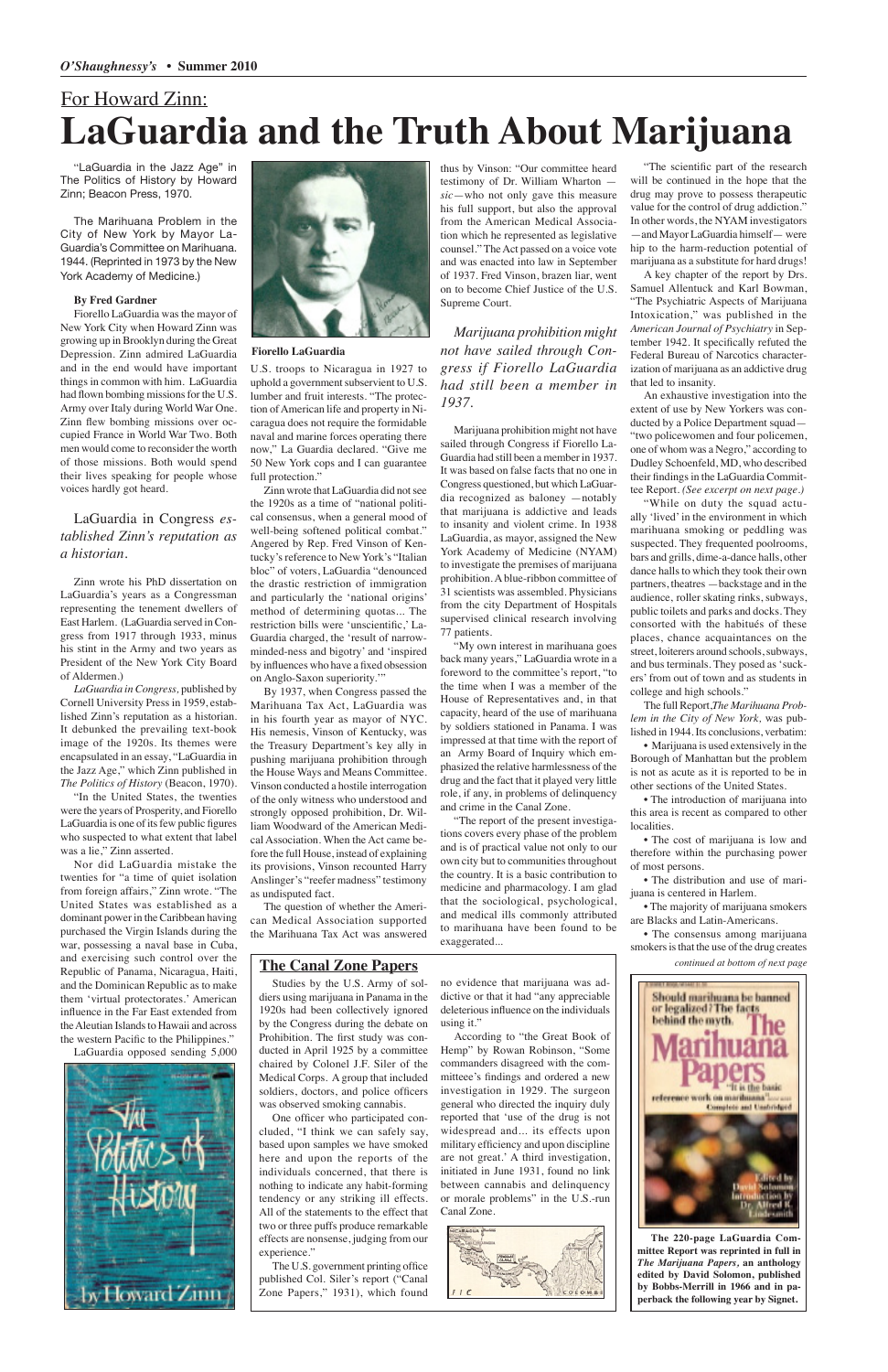"LaGuardia in the Jazz Age" in The Politics of History by Howard Zinn; Beacon Press, 1970.

The Marihuana Problem in the City of New York by Mayor La-Guardia's Committee on Marihuana. 1944. (Reprinted in 1973 by the New York Academy of Medicine.)

#### **By Fred Gardner**

Fiorello LaGuardia was the mayor of New York City when Howard Zinn was growing up in Brooklyn during the Great Depression. Zinn admired LaGuardia and in the end would have important things in common with him. LaGuardia had flown bombing missions for the U.S. Army over Italy during World War One. Zinn flew bombing missions over occupied France in World War Two. Both men would come to reconsider the worth of those missions. Both would spend their lives speaking for people whose voices hardly got heard.

## LaGuardia in Congress *established Zinn's reputation as a historian.*

Zinn wrote his PhD dissertation on LaGuardia's years as a Congressman representing the tenement dwellers of East Harlem. (LaGuardia served in Congress from 1917 through 1933, minus his stint in the Army and two years as President of the New York City Board of Aldermen.)

*LaGuardia in Congress,* published by Cornell University Press in 1959, established Zinn's reputation as a historian. It debunked the prevailing text-book image of the 1920s. Its themes were encapsulated in an essay, "LaGuardia in the Jazz Age," which Zinn published in *The Politics of History* (Beacon, 1970).

"In the United States, the twenties were the years of Prosperity, and Fiorello LaGuardia is one of its few public figures who suspected to what extent that label was a lie," Zinn asserted.

Nor did LaGuardia mistake the twenties for "a time of quiet isolation from foreign affairs," Zinn wrote. "The United States was established as a dominant power in the Caribbean having purchased the Virgin Islands during the war, possessing a naval base in Cuba, and exercising such control over the Republic of Panama, Nicaragua, Haiti, and the Dominican Republic as to make them 'virtual protectorates.' American influence in the Far East extended from the Aleutian Islands to Hawaii and across the western Pacific to the Philippines." LaGuardia opposed sending 5,000



# For Howard Zinn: **LaGuardia and the Truth About Marijuana**

U.S. troops to Nicaragua in 1927 to uphold a government subservient to U.S. lumber and fruit interests. "The protection of American life and property in Nicaragua does not require the formidable naval and marine forces operating there now," La Guardia declared. "Give me 50 New York cops and I can guarantee full protection."

Zinn wrote that LaGuardia did not see the 1920s as a time of "national political consensus, when a general mood of well-being softened political combat." Angered by Rep. Fred Vinson of Kentucky's reference to New York's "Italian bloc" of voters, LaGuardia "denounced the drastic restriction of immigration and particularly the 'national origins' method of determining quotas... The restriction bills were 'unscientific,' La-Guardia charged, the 'result of narrowminded-ness and bigotry' and 'inspired by influences who have a fixed obsession on Anglo-Saxon superiority.'"

By 1937, when Congress passed the Marihuana Tax Act, LaGuardia was in his fourth year as mayor of NYC. His nemesis, Vinson of Kentucky, was the Treasury Department's key ally in pushing marijuana prohibition through the House Ways and Means Committee. Vinson conducted a hostile interrogation of the only witness who understood and strongly opposed prohibition, Dr. William Woodward of the American Medical Association. When the Act came before the full House, instead of explaining its provisions, Vinson recounted Harry Anslinger's "reefer madness" testimony as undisputed fact.

The question of whether the American Medical Association supported the Marihuana Tax Act was answered

thus by Vinson: "Our committee heard testimony of Dr. William Wharton *sic*—who not only gave this measure his full support, but also the approval from the American Medical Association which he represented as legislative counsel." The Act passed on a voice vote and was enacted into law in September of 1937. Fred Vinson, brazen liar, went on to become Chief Justice of the U.S. Supreme Court.

*Marijuana prohibition might not have sailed through Congress if Fiorello LaGuardia had still been a member in 1937.*

Marijuana prohibition might not have sailed through Congress if Fiorello La-Guardia had still been a member in 1937. It was based on false facts that no one in Congress questioned, but which LaGuardia recognized as baloney —notably that marijuana is addictive and leads to insanity and violent crime. In 1938 LaGuardia, as mayor, assigned the New York Academy of Medicine (NYAM) to investigate the premises of marijuana prohibition. A blue-ribbon committee of 31 scientists was assembled. Physicians from the city Department of Hospitals supervised clinical research involving 77 patients.

"My own interest in marihuana goes back many years," LaGuardia wrote in a foreword to the committee's report, "to the time when I was a member of the House of Representatives and, in that capacity, heard of the use of marihuana by soldiers stationed in Panama. I was impressed at that time with the report of an Army Board of Inquiry which emphasized the relative harmlessness of the drug and the fact that it played very little role, if any, in problems of delinquency and crime in the Canal Zone.

"The report of the present investigations covers every phase of the problem and is of practical value not only to our own city but to communities throughout the country. It is a basic contribution to medicine and pharmacology. I am glad that the sociological, psychological, and medical ills commonly attributed to marihuana have been found to be exaggerated...

#### **Fiorello LaGuardia**

"The scientific part of the research will be continued in the hope that the drug may prove to possess therapeutic value for the control of drug addiction." In other words, the NYAM investigators —and Mayor LaGuardia himself— were hip to the harm-reduction potential of marijuana as a substitute for hard drugs!

A key chapter of the report by Drs. Samuel Allentuck and Karl Bowman, "The Psychiatric Aspects of Marijuana Intoxication," was published in the *American Journal of Psychiatry* in September 1942. It specifically refuted the Federal Bureau of Narcotics characterization of marijuana as an addictive drug that led to insanity.

An exhaustive investigation into the extent of use by New Yorkers was conducted by a Police Department squad— "two policewomen and four policemen, one of whom was a Negro," according to Dudley Schoenfeld, MD, who described their findings in the LaGuardia Committee Report. *(See excerpt on next page.)* 

"While on duty the squad actually 'lived' in the environment in which marihuana smoking or peddling was suspected. They frequented poolrooms, bars and grills, dime-a-dance halls, other dance halls to which they took their own partners, theatres —backstage and in the audience, roller skating rinks, subways, public toilets and parks and docks. They consorted with the habitués of these places, chance acquaintances on the street, loiterers around schools, subways, and bus terminals. They posed as 'suckers' from out of town and as students in college and high schools."

The full Report,*The Marihuana Problem in the City of New York,* was published in 1944. Its conclusions, verbatim:

• Marijuana is used extensively in the Borough of Manhattan but the problem is not as acute as it is reported to be in other sections of the United States.

• The introduction of marijuana into this area is recent as compared to other localities.

• The cost of marijuana is low and therefore within the purchasing power of most persons.

• The distribution and use of marijuana is centered in Harlem.

• The majority of marijuana smokers are Blacks and Latin-Americans.

• The consensus among marijuana smokers is that the use of the drug creates





## **The Canal Zone Papers** *continued at bottom of next page*

Studies by the U.S. Army of sol-no evidence that marijuana was ad-1920s had been collectively ignored by the Congress during the debate on Prohibition. The first study was conducted in April 1925 by a committee chaired by Colonel J.F. Siler of the Medical Corps. A group that included soldiers, doctors, and police officers was observed smoking cannabis.

diers using marijuana in Panama in the dictive or that it had "any appreciable deleterious influence on the individuals using it."

One officer who participated concluded, "I think we can safely say, based upon samples we have smoked here and upon the reports of the individuals concerned, that there is nothing to indicate any habit-forming tendency or any striking ill effects. All of the statements to the effect that two or three puffs produce remarkable effects are nonsense, judging from our experience."

The U.S. government printing office published Col. Siler's report ("Canal Zone Papers," 1931), which found

According to "the Great Book of Hemp" by Rowan Robinson, "Some commanders disagreed with the committeee's findings and ordered a new investigation in 1929. The surgeon general who directed the inquiry duly reported that 'use of the drug is not widespread and... its effects upon military efficiency and upon discipline are not great.' A third investigation, initiated in June 1931, found no link between cannabis and delinquency or morale problems" in the U.S.-run Canal Zone.



**The 220-page LaGuardia Committee Report was reprinted in full in**  *The Marijuana Papers,* **an anthology edited by David Solomon, published by Bobbs-Merrill in 1966 and in paperback the following year by Signet.**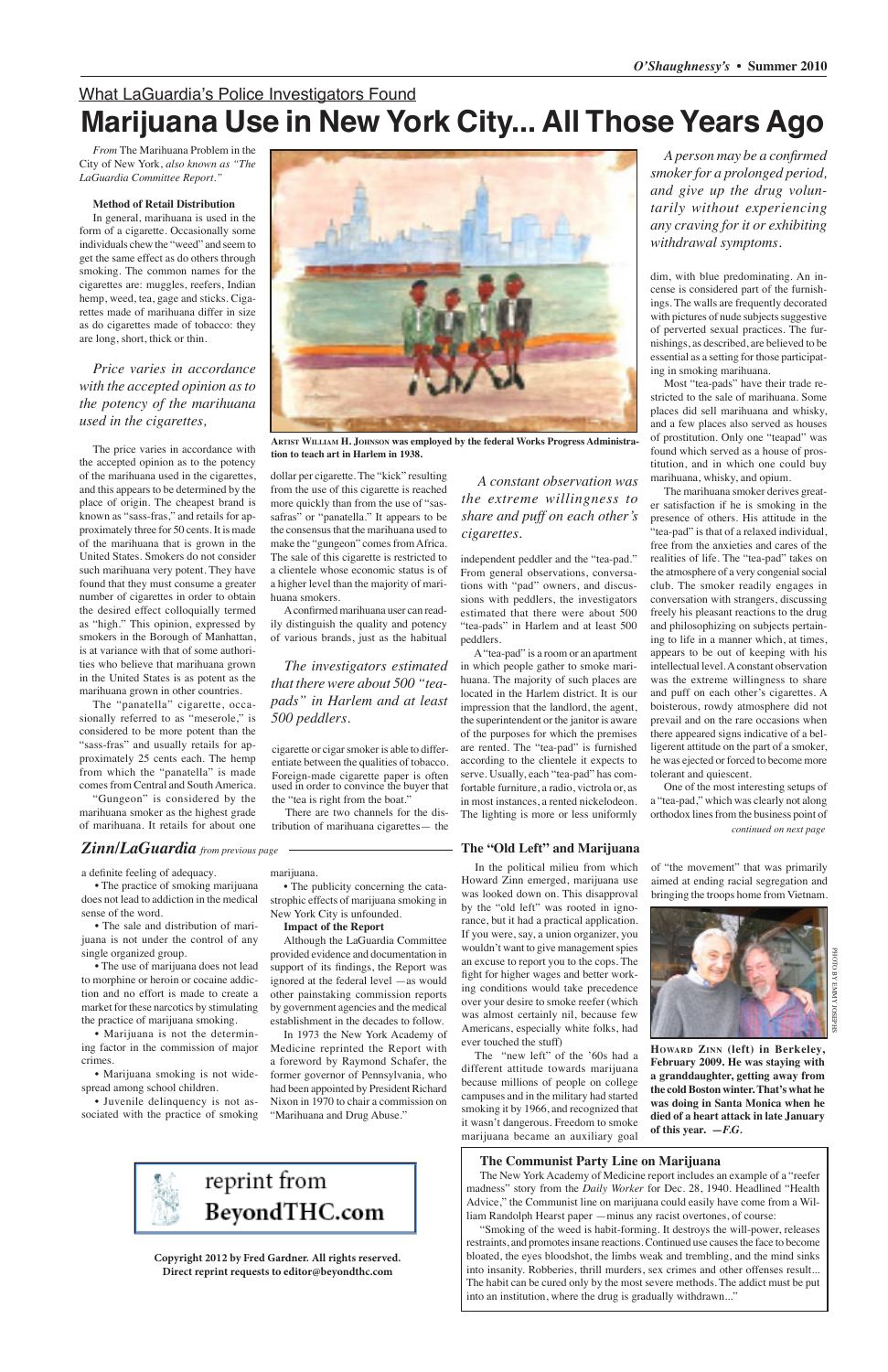*From* The Marihuana Problem in the City of New York, *also known as "The LaGuardia Committee Report."*

#### **Method of Retail Distribution**

In general, marihuana is used in the form of a cigarette. Occasionally some individuals chew the "weed" and seem to get the same effect as do others through smoking. The common names for the cigarettes are: muggles, reefers, Indian hemp, weed, tea, gage and sticks. Cigarettes made of marihuana differ in size as do cigarettes made of tobacco: they are long, short, thick or thin.

*Price varies in accordance with the accepted opinion as to the potency of the marihuana used in the cigarettes,*

The price varies in accordance with the accepted opinion as to the potency of the marihuana used in the cigarettes, and this appears to be determined by the place of origin. The cheapest brand is known as "sass-fras," and retails for approximately three for 50 cents. It is made of the marihuana that is grown in the United States. Smokers do not consider such marihuana very potent. They have found that they must consume a greater number of cigarettes in order to obtain the desired effect colloquially termed as "high." This opinion, expressed by smokers in the Borough of Manhattan, is at variance with that of some authorities who believe that marihuana grown in the United States is as potent as the marihuana grown in other countries.

The "panatella" cigarette, occasionally referred to as "meserole," is considered to be more potent than the "sass-fras" and usually retails for approximately 25 cents each. The hemp from which the "panatella" is made comes from Central and South America.

"Gungeon" is considered by the marihuana smoker as the highest grade of marihuana. It retails for about one dollar per cigarette. The "kick" resulting from the use of this cigarette is reached more quickly than from the use of "sassafras" or "panatella." It appears to be the consensus that the marihuana used to make the "gungeon" comes from Africa. The sale of this cigarette is restricted to a clientele whose economic status is of a higher level than the majority of marihuana smokers.

A confirmed marihuana user can readily distinguish the quality and potency of various brands, just as the habitual

independent peddler and the "tea-pad." From general observations, conversations with "pad" owners, and discussions with peddlers, the investigators estimated that there were about 500 "tea-pads" in Harlem and at least 500 peddlers.

A "tea-pad" is a room or an apartment in which people gather to smoke marihuana. The majority of such places are located in the Harlem district. It is our impression that the landlord, the agent, the superintendent or the janitor is aware of the purposes for which the premises are rented. The "tea-pad" is furnished according to the clientele it expects to serve. Usually, each "tea-pad" has comfortable furniture, a radio, victrola or, as in most instances, a rented nickelodeon. The lighting is more or less uniformly

dim, with blue predominating. An incense is considered part of the furnishings. The walls are frequently decorated with pictures of nude subjects suggestive of perverted sexual practices. The furnishings, as described, are believed to be essential as a setting for those participating in smoking marihuana.

Most "tea-pads" have their trade restricted to the sale of marihuana. Some places did sell marihuana and whisky, and a few places also served as houses of prostitution. Only one "teapad" was found which served as a house of prostitution, and in which one could buy marihuana, whisky, and opium.

The marihuana smoker derives greater satisfaction if he is smoking in the presence of others. His attitude in the "tea-pad" is that of a relaxed individual, free from the anxieties and cares of the realities of life. The "tea-pad" takes on the atmosphere of a very congenial social club. The smoker readily engages in conversation with strangers, discussing freely his pleasant reactions to the drug and philosophizing on subjects pertaining to life in a manner which, at times, appears to be out of keeping with his intellectual level. A constant observation was the extreme willingness to share and puff on each other's cigarettes. A boisterous, rowdy atmosphere did not prevail and on the rare occasions when there appeared signs indicative of a belligerent attitude on the part of a smoker, he was ejected or forced to become more tolerant and quiescent.

One of the most interesting setups of a "tea-pad," which was clearly not along orthodox lines from the business point of *continued on next page*

## What LaGuardia's Police Investigators Found **Marijuana Use in New York City... All Those Years Ago**

*A constant observation was the extreme willingness to share and puff on each other's cigarettes.*



**Artist William H. Johnson was employed by the federal Works Progress Administration to teach art in Harlem in 1938.** 

In the political milieu from which Howard Zinn emerged, marijuana use was looked down on. This disapproval by the "old left" was rooted in ignorance, but it had a practical application. If you were, say, a union organizer, you wouldn't want to give management spies an excuse to report you to the cops. The fight for higher wages and better working conditions would take precedence over your desire to smoke reefer (which was almost certainly nil, because few Americans, especially white folks, had ever touched the stuff) The "new left" of the '60s had a different attitude towards marijuana because millions of people on college campuses and in the military had started smoking it by 1966, and recognized that it wasn't dangerous. Freedom to smoke marijuana became an auxiliary goal

of "the movement" that was primarily aimed at ending racial segregation and bringing the troops home from Vietnam.



**Howard Zinn (left) in Berkeley, February 2009. He was staying with a granddaughter, getting away from the cold Boston winter. That's what he was doing in Santa Monica when he died of a heart attack in late January of this year.** *—F.G.*



*A person may be a confirmed smoker for a prolonged period, and give up the drug voluntarily without experiencing any craving for it or exhibiting withdrawal symptoms.*

*The investigators estimated that there were about 500 "teapads" in Harlem and at least 500 peddlers.*

cigarette or cigar smoker is able to differentiate between the qualities of tobacco. Foreign-made cigarette paper is often used in order to convince the buyer that the "tea is right from the boat."

There are two channels for the distribution of marihuana cigarettes— the

a definite feeling of adequacy.

• The practice of smoking marijuana does not lead to addiction in the medical sense of the word.

• The sale and distribution of marijuana is not under the control of any single organized group.

• The use of marijuana does not lead to morphine or heroin or cocaine addiction and no effort is made to create a market for these narcotics by stimulating

the practice of marijuana smoking.

• Marijuana is not the determining factor in the commission of major crimes.

• Marijuana smoking is not widespread among school children.

• Juvenile delinquency is not associated with the practice of smoking

## *Zinn/LaGuardia from previous page*

marijuana.

• The publicity concerning the catastrophic effects of marijuana smoking in New York City is unfounded.

#### **Impact of the Report**

Although the LaGuardia Committee provided evidence and documentation in support of its findings, the Report was ignored at the federal level —as would other painstaking commission reports by government agencies and the medical

establishment in the decades to follow.

In 1973 the New York Academy of Medicine reprinted the Report with a foreword by Raymond Schafer, the former governor of Pennsylvania, who had been appointed by President Richard Nixon in 1970 to chair a commission on "Marihuana and Drug Abuse."



## **The Communist Party Line on Marijuana**

The New York Academy of Medicine report includes an example of a "reefer madness" story from the *Daily Worker* for Dec. 28, 1940. Headlined "Health Advice," the Communist line on marijuana could easily have come from a William Randolph Hearst paper —minus any racist overtones, of course:

"Smoking of the weed is habit-forming. It destroys the will-power, releases restraints, and promotes insane reactions. Continued use causes the face to become bloated, the eyes bloodshot, the limbs weak and trembling, and the mind sinks into insanity. Robberies, thrill murders, sex crimes and other offenses result... The habit can be cured only by the most severe methods. The addict must be put into an institution, where the drug is gradually withdrawn..."

#### **The "Old Left" and Marijuana**

**Copyright 2012 by Fred Gardner. All rights reserved. Direct reprint requests to editor@beyondthc.com**